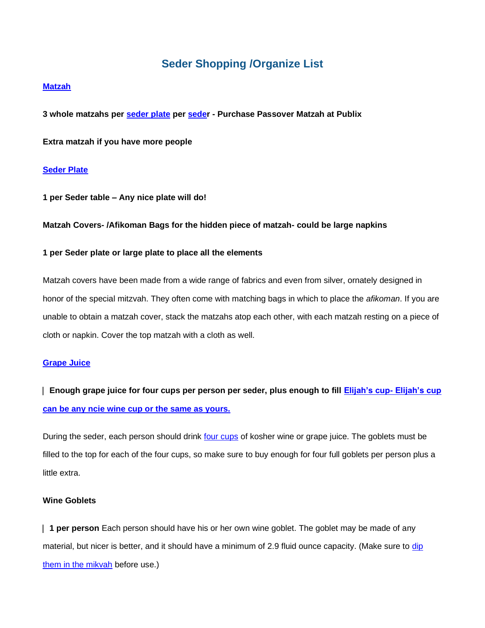# **Seder Shopping /Organize List**

#### **[Matzah](https://www.chabad.org/holidays/passover/pesach_cdo/aid/1747/jewish/The-Matzah.htm)**

**3 whole matzahs per [seder plate](https://www.chabad.org/holidays/passover/pesach_cdo/aid/1998/jewish/The-Seder-Plate.htm) per [seder](https://www.chabad.org/holidays/passover/pesach_cdo/aid/1980/jewish/Passover-Seder.htm) - Purchase Passover Matzah at Publix**

**Extra matzah if you have more people**

#### **[Seder Plate](https://www.chabad.org/holidays/passover/pesach_cdo/aid/1998/jewish/The-Seder-Plate.htm)**

**1 per Seder table – Any nice plate will do!**

#### **Matzah Covers- /Afikoman Bags for the hidden piece of matzah- could be large napkins**

#### **1 per Seder plate or large plate to place all the elements**

Matzah covers have been made from a wide range of fabrics and even from silver, ornately designed in honor of the special mitzvah. They often come with matching bags in which to place the *afikoman*. If you are unable to obtain a matzah cover, stack the matzahs atop each other, with each matzah resting on a piece of cloth or napkin. Cover the top matzah with a cloth as well.

#### **[Grape Juice](https://www.chabad.org/holidays/passover/pesach_cdo/aid/1748/jewish/The-Wine.htm)**

⎸ **Enough grape juice for four cups per person per seder, plus enough to fill [Elijah's cup-](https://www.chabad.org/holidays/passover/pesach_cdo/aid/504495/jewish/Why-Is-Elijah-the-Prophet-Invited-to-the-Seder.htm) Elijah's cup can be any ncie wine cup or the same as yours.**

During the seder, each person should drink [four cups](https://www.chabad.org/holidays/passover/pesach_cdo/aid/1709/jewish/The-Four-Cups.htm) of kosher wine or grape juice. The goblets must be filled to the top for each of the four cups, so make sure to buy enough for four full goblets per person plus a little extra.

#### **Wine Goblets**

⎸ **1 per person** Each person should have his or her own wine goblet. The goblet may be made of any material, but nicer is better, and it should have a minimum of 2.9 fluid ounce capacity. (Make sure to dip [them in the mikvah](https://www.chabad.org/library/article_cdo/aid/662253) before use.)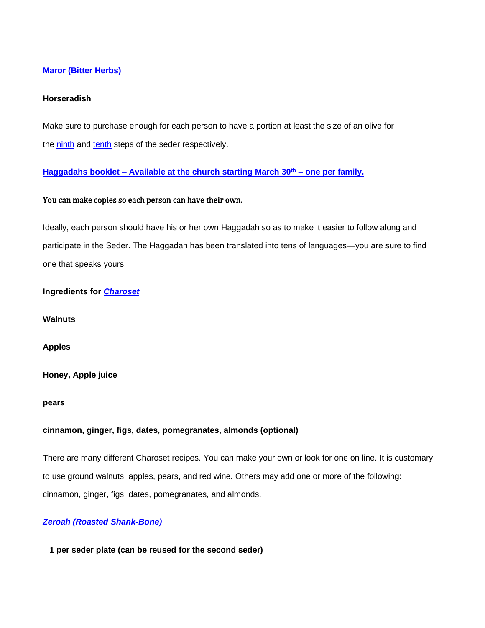# **[Maror \(Bitter Herbs\)](https://www.chabad.org/holidays/passover/pesach_cdo/aid/1749/jewish/What-Is-Maror.htm)**

# **Horseradish**

Make sure to purchase enough for each person to have a portion at least the size of an olive for the [ninth](https://www.chabad.org/holidays/passover/pesach_cdo/aid/117120/jewish/9-Maror-Bitter-Herbs.htm) and [tenth](https://www.chabad.org/holidays/passover/pesach_cdo/aid/117120/jewish/9-Maror-Bitter-Herbs.htm) steps of the seder respectively.

**[Haggadahs](https://www.chabad.org/holidays/passover/pesach_cdo/aid/1735/jewish/The-Haggadah.htm) booklet – Available at the church starting March 30th – one per family.**

# You can make copies so each person can have their own.

Ideally, each person should have his or her own Haggadah so as to make it easier to follow along and participate in the Seder. The Haggadah has been translated into tens of languages—you are sure to find one that speaks yours!

# **Ingredients for** *[Charoset](https://www.chabad.org/holidays/passover/pesach_cdo/aid/1998/jewish/The-Seder-Plate.htm)*

**Walnuts**

**Apples**

**Honey, Apple juice**

**pears**

#### **cinnamon, ginger, figs, dates, pomegranates, almonds (optional)**

There are many different Charoset recipes. You can make your own or look for one on line. It is customary to use ground walnuts, apples, pears, and red wine. Others may add one or more of the following: cinnamon, ginger, figs, dates, pomegranates, and almonds.

# *[Zeroah \(Roasted Shank-Bone\)](https://www.chabad.org/holidays/passover/pesach_cdo/aid/1999/jewish/The-Shank-Bone-Zeroah.htm)*

⎸ **1 per seder plate (can be reused for the second seder)**